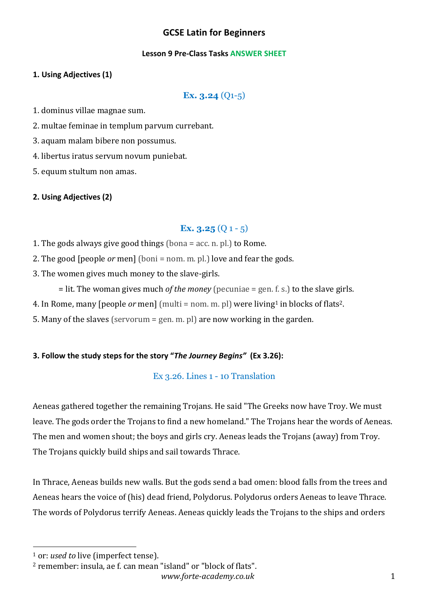# **GCSE Latin for Beginners**

#### **Lesson 9 Pre-Class Tasks ANSWER SHEET**

### **1. Using Adjectives (1)**

**Ex. 3.24** (Q1-5)

1. dominus villae magnae sum.

2. multae feminae in templum parvum currebant.

3. aquam malam bibere non possumus.

4. libertus iratus servum novum puniebat.

5. equum stultum non amas.

#### **2. Using Adjectives (2)**

# **Ex. 3.25** (Q 1 - 5)

1. The gods always give good things (bona  $=$  acc. n. pl.) to Rome.

2. The good [people *or* men] (boni = nom. m. pl.) love and fear the gods.

3. The women gives much money to the slave-girls.

 $=$  lit. The woman gives much *of the money* (pecuniae  $=$  gen. f. s.) to the slave girls.

4. In Rome, many [people *or* men]  $[multi = nom. m. pl]$  were living<sup>1</sup> in blocks of flats<sup>2</sup>.

5. Many of the slaves (servorum = gen. m. pl) are now working in the garden.

#### **3. Follow the study steps for the story "***The Journey Begins"* **(Ex 3.26):**

### Ex 3.26. Lines 1 - 10 Translation

Aeneas gathered together the remaining Trojans. He said "The Greeks now have Troy. We must leave. The gods order the Trojans to find a new homeland." The Trojans hear the words of Aeneas. The men and women shout; the boys and girls cry. Aeneas leads the Trojans (away) from Troy. The Trojans quickly build ships and sail towards Thrace.

In Thrace, Aeneas builds new walls. But the gods send a bad omen: blood falls from the trees and Aeneas hears the voice of (his) dead friend, Polydorus. Polydorus orders Aeneas to leave Thrace. The words of Polydorus terrify Aeneas. Aeneas quickly leads the Trojans to the ships and orders

<sup>&</sup>lt;sup>1</sup> or: *used to* live (imperfect tense).

 $2$  remember: insula, ae f. can mean "island" or "block of flats".

*www.forte-academy.co.uk* 1